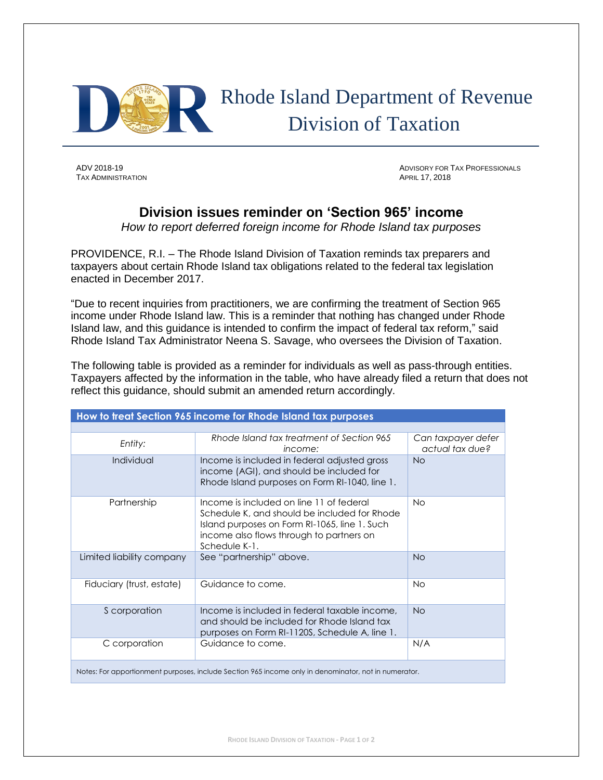

## Rhode Island Department of Revenue Division of Taxation

**TAX ADMINISTRATION** 

ADV 2018-19 ADVISORY FOR TAX PROFESSIONALS

## **Division issues reminder on 'Section 965' income**

*How to report deferred foreign income for Rhode Island tax purposes* 

PROVIDENCE, R.I. – The Rhode Island Division of Taxation reminds tax preparers and taxpayers about certain Rhode Island tax obligations related to the federal tax legislation enacted in December 2017.

"Due to recent inquiries from practitioners, we are confirming the treatment of Section 965 income under Rhode Island law. This is a reminder that nothing has changed under Rhode Island law, and this guidance is intended to confirm the impact of federal tax reform," said Rhode Island Tax Administrator Neena S. Savage, who oversees the Division of Taxation.

The following table is provided as a reminder for individuals as well as pass-through entities. Taxpayers affected by the information in the table, who have already filed a return that does not reflect this guidance, should submit an amended return accordingly.

| How to treat Section 965 income for Rhode Island tax purposes                                        |                                                                                                                                                                                                        |                                       |
|------------------------------------------------------------------------------------------------------|--------------------------------------------------------------------------------------------------------------------------------------------------------------------------------------------------------|---------------------------------------|
|                                                                                                      |                                                                                                                                                                                                        |                                       |
| Entity:                                                                                              | Rhode Island tax treatment of Section 965<br>income:                                                                                                                                                   | Can taxpayer defer<br>actual tax due? |
| Individual                                                                                           | Income is included in federal adjusted gross<br>income (AGI), and should be included for<br>Rhode Island purposes on Form RI-1040, line 1.                                                             | <b>No</b>                             |
| Partnership                                                                                          | Income is included on line 11 of federal<br>Schedule K, and should be included for Rhode<br>Island purposes on Form RI-1065, line 1. Such<br>income also flows through to partners on<br>Schedule K-1. | No                                    |
| Limited liability company                                                                            | See "partnership" above.                                                                                                                                                                               | <b>No</b>                             |
| Fiduciary (trust, estate)                                                                            | Guidance to come.                                                                                                                                                                                      | <b>No</b>                             |
| S corporation                                                                                        | Income is included in federal taxable income.<br>and should be included for Rhode Island tax<br>purposes on Form RI-1120S, Schedule A, line 1.                                                         | <b>No</b>                             |
| C corporation                                                                                        | Guidance to come.                                                                                                                                                                                      | N/A                                   |
| Notes: For apportionment purposes, include Section 965 income only in denominator, not in numerator. |                                                                                                                                                                                                        |                                       |